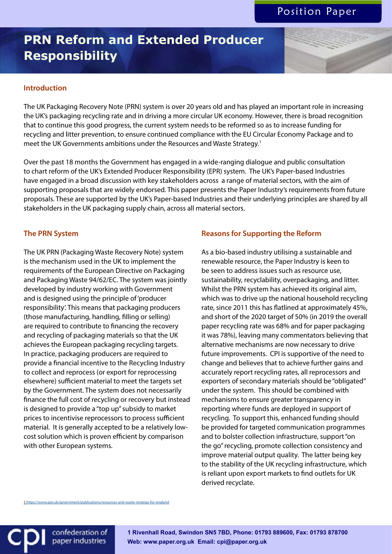# **PRN Reform and Extended Producer Responsibility**

## **Introduction**

The UK Packaging Recovery Note (PRN) system is over 20 years old and has played an important role in increasing the UK's packaging recycling rate and in driving a more circular UK economy. However, there is broad recognition that to continue this good progress, the current system needs to be reformed so as to increase funding for recycling and litter prevention, to ensure continued compliance with the EU Circular Economy Package and to meet the UK Governments ambitions under the Resources and Waste Strategy.<sup>1</sup>

Over the past 18 months the Government has engaged in a wide-ranging dialogue and public consultation to chart reform of the UK's Extended Producer Responsibility (EPR) system. The UK's Paper-based Industries have engaged in a broad discussion with key stakeholders across a range of material sectors, with the aim of supporting proposals that are widely endorsed. This paper presents the Paper Industry's requirements from future proposals. These are supported by the UK's Paper-based Industries and their underlying principles are shared by all stakeholders in the UK packaging supply chain, across all material sectors.

#### **The PRN System**

The UK PRN (Packaging Waste Recovery Note) system is the mechanism used in the UK to implement the requirements of the European Directive on Packaging and Packaging Waste 94/62/EC. The system was jointly developed by industry working with Government and is designed using the principle of 'producer responsibility'. This means that packaging producers (those manufacturing, handling, filling or selling) are required to contribute to financing the recovery and recycling of packaging materials so that the UK achieves the European packaging recycling targets. In practice, packaging producers are required to provide a financial incentive to the Recycling Industry to collect and reprocess (or export for reprocessing elsewhere) sufficient material to meet the targets set by the Government. The system does not necessarily finance the full cost of recycling or recovery but instead is designed to provide a "top up" subsidy to market prices to incentivise reprocessors to process sufficient material. It is generally accepted to be a relatively lowcost solution which is proven efficient by comparison with other European systems.

1 https://www.gov.uk/government/publications/resources-and-waste-strategy-for-en

confederation of paper industries

## **Reasons for Supporting the Reform**

As a bio-based industry utilising a sustainable and renewable resource, the Paper Industry is keen to be seen to address issues such as resource use, sustainability, recyclability, overpackaging, and litter. Whilst the PRN system has achieved its original aim, which was to drive up the national household recycling rate, since 2011 this has flatlined at approximately 45%, and short of the 2020 target of 50% (in 2019 the overall paper recycling rate was 68% and for paper packaging it was 78%), leaving many commentators believing that alternative mechanisms are now necessary to drive future improvements. CPI is supportive of the need to change and believes that to achieve further gains and accurately report recycling rates, all reprocessors and exporters of secondary materials should be "obligated" under the system. This should be combined with mechanisms to ensure greater transparency in reporting where funds are deployed in support of recycling. To support this, enhanced funding should be provided for targeted communication programmes and to bolster collection infrastructure, support "on the go" recycling, promote collection consistency and improve material output quality. The latter being key to the stability of the UK recycling infrastructure, which is reliant upon export markets to find outlets for UK derived recyclate.

**1 Rivenhall Road, Swindon SN5 7BD, Phone: 01793 889600, Fax: 01793 878700 Web: www.paper.org.uk Email: cpi@paper.org.uk**